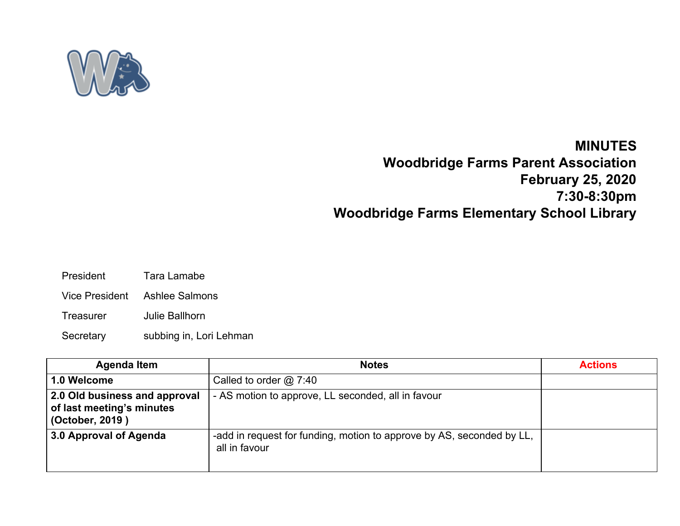

## **MINUTES**

**Woodbridge Farms Parent Association February 25, 2020 7:30-8:30pm Woodbridge Farms Elementary School Library**

- President Tara Lamabe
- Vice President Ashlee Salmons
- Treasurer Julie Ballhorn
- Secretary subbing in, Lori Lehman

| <b>Agenda Item</b>                                                            | <b>Notes</b>                                                                           | <b>Actions</b> |
|-------------------------------------------------------------------------------|----------------------------------------------------------------------------------------|----------------|
| 1.0 Welcome                                                                   | Called to order $@$ 7:40                                                               |                |
| 2.0 Old business and approval<br>of last meeting's minutes<br>(October, 2019) | - AS motion to approve, LL seconded, all in favour                                     |                |
| 3.0 Approval of Agenda                                                        | -add in request for funding, motion to approve by AS, seconded by LL,<br>all in favour |                |